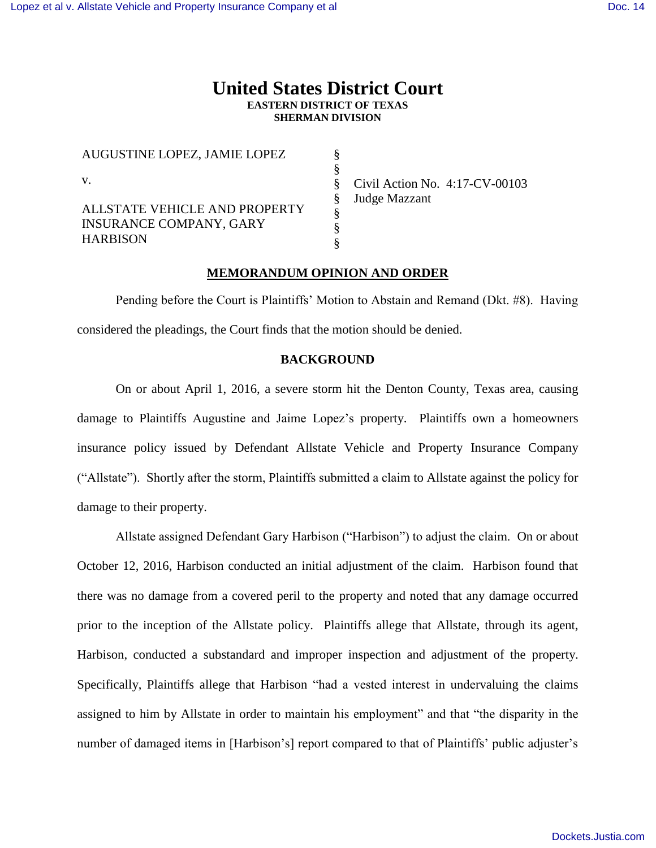# **United States District Court EASTERN DISTRICT OF TEXAS SHERMAN DIVISION**

| AUGUSTINE LOPEZ, JAMIE LOPEZ                                                       |                                   |
|------------------------------------------------------------------------------------|-----------------------------------|
|                                                                                    | Civil Action No. $4:17$ -CV-00103 |
| ALLSTATE VEHICLE AND PROPERTY<br><b>INSURANCE COMPANY, GARY</b><br><b>HARBISON</b> | Judge Mazzant                     |

## **MEMORANDUM OPINION AND ORDER**

Pending before the Court is Plaintiffs' Motion to Abstain and Remand (Dkt. #8). Having considered the pleadings, the Court finds that the motion should be denied.

#### **BACKGROUND**

On or about April 1, 2016, a severe storm hit the Denton County, Texas area, causing damage to Plaintiffs Augustine and Jaime Lopez's property. Plaintiffs own a homeowners insurance policy issued by Defendant Allstate Vehicle and Property Insurance Company ("Allstate"). Shortly after the storm, Plaintiffs submitted a claim to Allstate against the policy for damage to their property.

Allstate assigned Defendant Gary Harbison ("Harbison") to adjust the claim. On or about October 12, 2016, Harbison conducted an initial adjustment of the claim. Harbison found that there was no damage from a covered peril to the property and noted that any damage occurred prior to the inception of the Allstate policy. Plaintiffs allege that Allstate, through its agent, Harbison, conducted a substandard and improper inspection and adjustment of the property. Specifically, Plaintiffs allege that Harbison "had a vested interest in undervaluing the claims assigned to him by Allstate in order to maintain his employment" and that "the disparity in the number of damaged items in [Harbison's] report compared to that of Plaintiffs' public adjuster's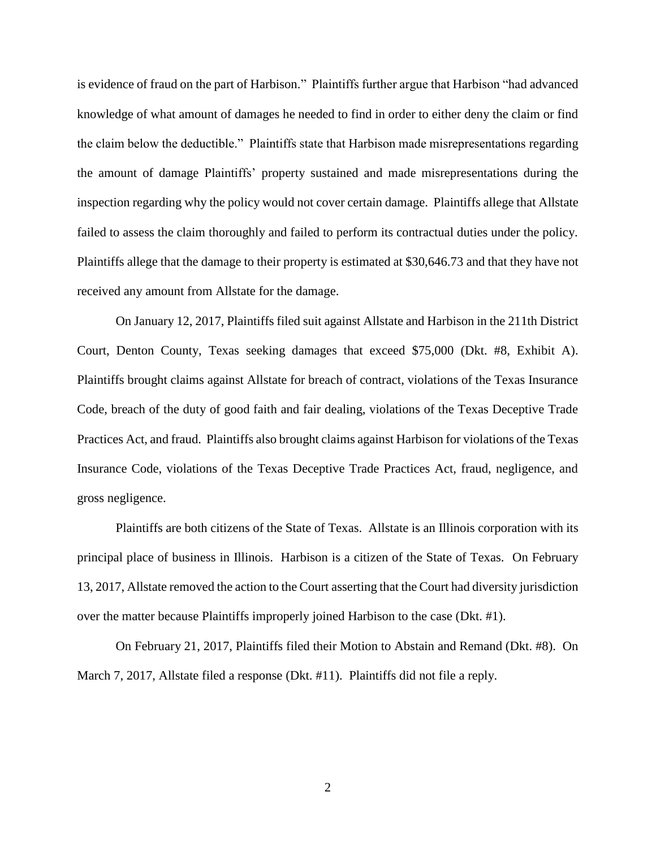is evidence of fraud on the part of Harbison." Plaintiffs further argue that Harbison "had advanced knowledge of what amount of damages he needed to find in order to either deny the claim or find the claim below the deductible." Plaintiffs state that Harbison made misrepresentations regarding the amount of damage Plaintiffs' property sustained and made misrepresentations during the inspection regarding why the policy would not cover certain damage. Plaintiffs allege that Allstate failed to assess the claim thoroughly and failed to perform its contractual duties under the policy. Plaintiffs allege that the damage to their property is estimated at \$30,646.73 and that they have not received any amount from Allstate for the damage.

On January 12, 2017, Plaintiffs filed suit against Allstate and Harbison in the 211th District Court, Denton County, Texas seeking damages that exceed \$75,000 (Dkt. #8, Exhibit A). Plaintiffs brought claims against Allstate for breach of contract, violations of the Texas Insurance Code, breach of the duty of good faith and fair dealing, violations of the Texas Deceptive Trade Practices Act, and fraud. Plaintiffs also brought claims against Harbison for violations of the Texas Insurance Code, violations of the Texas Deceptive Trade Practices Act, fraud, negligence, and gross negligence.

Plaintiffs are both citizens of the State of Texas. Allstate is an Illinois corporation with its principal place of business in Illinois. Harbison is a citizen of the State of Texas. On February 13, 2017, Allstate removed the action to the Court asserting that the Court had diversity jurisdiction over the matter because Plaintiffs improperly joined Harbison to the case (Dkt. #1).

On February 21, 2017, Plaintiffs filed their Motion to Abstain and Remand (Dkt. #8). On March 7, 2017, Allstate filed a response (Dkt. #11). Plaintiffs did not file a reply.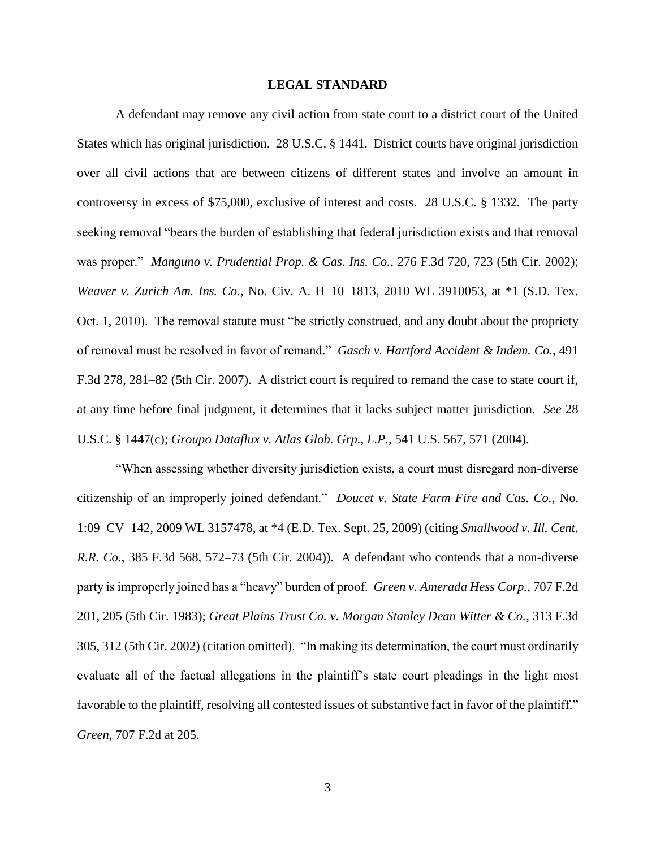#### **LEGAL STANDARD**

A defendant may remove any civil action from state court to a district court of the United States which has original jurisdiction. 28 U.S.C. § 1441. District courts have original jurisdiction over all civil actions that are between citizens of different states and involve an amount in controversy in excess of \$75,000, exclusive of interest and costs. 28 U.S.C. § 1332. The party seeking removal "bears the burden of establishing that federal jurisdiction exists and that removal was proper." *Manguno v. Prudential Prop. & Cas. Ins. Co.*, 276 F.3d 720, 723 (5th Cir. 2002); *Weaver v. Zurich Am. Ins. Co.*, No. Civ. A. H–10–1813, 2010 WL 3910053, at \*1 (S.D. Tex. Oct. 1, 2010). The removal statute must "be strictly construed, and any doubt about the propriety of removal must be resolved in favor of remand." *Gasch v. Hartford Accident & Indem. Co.*, 491 F.3d 278, 281–82 (5th Cir. 2007). A district court is required to remand the case to state court if, at any time before final judgment, it determines that it lacks subject matter jurisdiction. *See* 28 U.S.C. § 1447(c); *Groupo Dataflux v. Atlas Glob. Grp., L.P.*, 541 U.S. 567, 571 (2004).

"When assessing whether diversity jurisdiction exists, a court must disregard non-diverse citizenship of an improperly joined defendant." *Doucet v. State Farm Fire and Cas. Co.*, No. 1:09–CV–142, 2009 WL 3157478, at \*4 (E.D. Tex. Sept. 25, 2009) (citing *Smallwood v. Ill. Cent. R.R. Co.*, 385 F.3d 568, 572–73 (5th Cir. 2004)). A defendant who contends that a non-diverse party is improperly joined has a "heavy" burden of proof. *Green v. Amerada Hess Corp.*, 707 F.2d 201, 205 (5th Cir. 1983); *Great Plains Trust Co. v. Morgan Stanley Dean Witter & Co.*, 313 F.3d 305, 312 (5th Cir. 2002) (citation omitted). "In making its determination, the court must ordinarily evaluate all of the factual allegations in the plaintiff's state court pleadings in the light most favorable to the plaintiff, resolving all contested issues of substantive fact in favor of the plaintiff." *Green*, 707 F.2d at 205.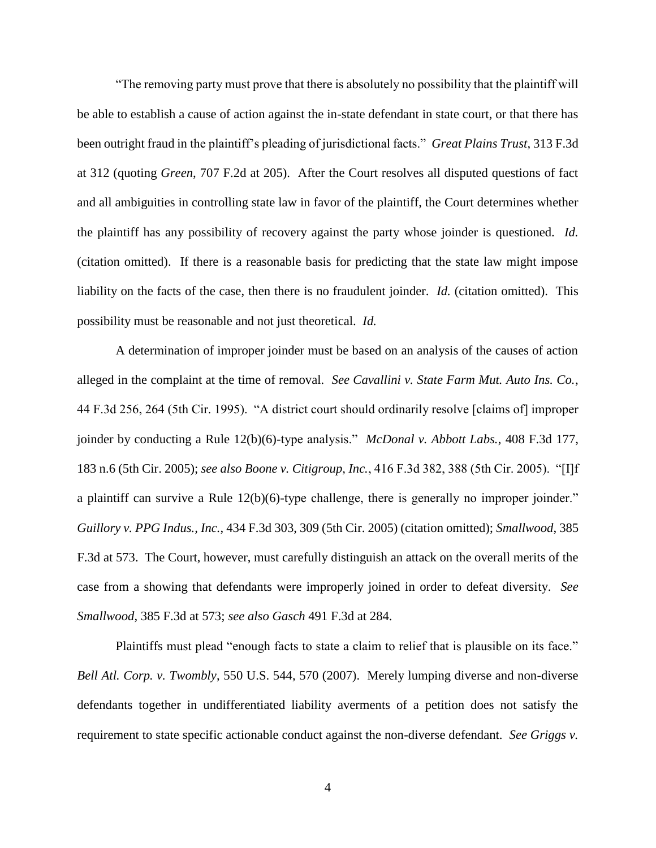"The removing party must prove that there is absolutely no possibility that the plaintiff will be able to establish a cause of action against the in-state defendant in state court, or that there has been outright fraud in the plaintiff's pleading of jurisdictional facts." *Great Plains Trust*, 313 F.3d at 312 (quoting *Green*, 707 F.2d at 205). After the Court resolves all disputed questions of fact and all ambiguities in controlling state law in favor of the plaintiff, the Court determines whether the plaintiff has any possibility of recovery against the party whose joinder is questioned. *Id.* (citation omitted). If there is a reasonable basis for predicting that the state law might impose liability on the facts of the case, then there is no fraudulent joinder. *Id.* (citation omitted). This possibility must be reasonable and not just theoretical. *Id.*

A determination of improper joinder must be based on an analysis of the causes of action alleged in the complaint at the time of removal. *See Cavallini v. State Farm Mut. Auto Ins. Co.*, 44 F.3d 256, 264 (5th Cir. 1995). "A district court should ordinarily resolve [claims of] improper joinder by conducting a Rule 12(b)(6)-type analysis." *McDonal v. Abbott Labs.*, 408 F.3d 177, 183 n.6 (5th Cir. 2005); *see also Boone v. Citigroup, Inc.*, 416 F.3d 382, 388 (5th Cir. 2005). "[I]f a plaintiff can survive a Rule 12(b)(6)-type challenge, there is generally no improper joinder." *Guillory v. PPG Indus., Inc.*, 434 F.3d 303, 309 (5th Cir. 2005) (citation omitted); *Smallwood*, 385 F.3d at 573. The Court, however, must carefully distinguish an attack on the overall merits of the case from a showing that defendants were improperly joined in order to defeat diversity. *See Smallwood*, 385 F.3d at 573; *see also Gasch* 491 F.3d at 284.

Plaintiffs must plead "enough facts to state a claim to relief that is plausible on its face." *Bell Atl. Corp. v. Twombly*, 550 U.S. 544, 570 (2007). Merely lumping diverse and non-diverse defendants together in undifferentiated liability averments of a petition does not satisfy the requirement to state specific actionable conduct against the non-diverse defendant. *See Griggs v.*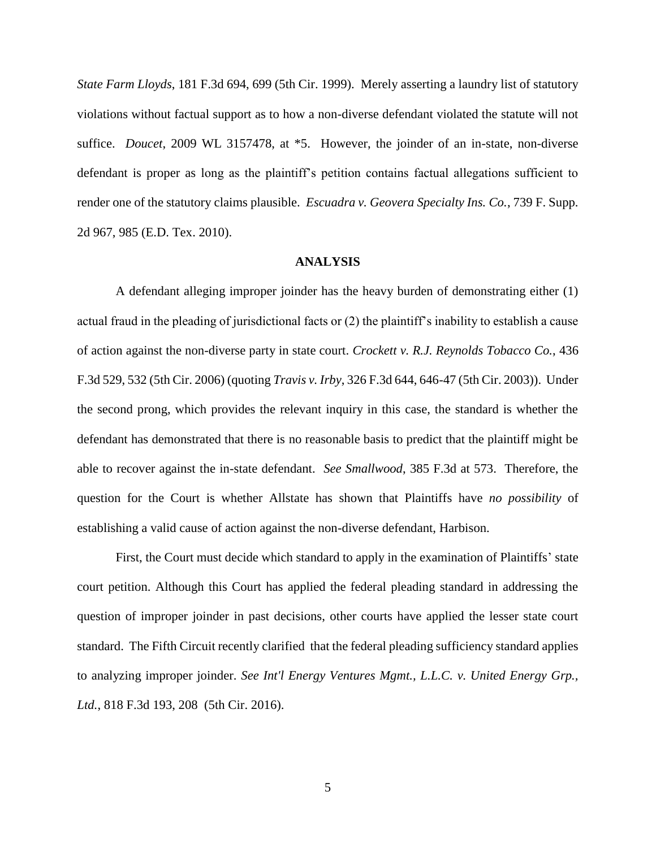*State Farm Lloyds*, 181 F.3d 694, 699 (5th Cir. 1999). Merely asserting a laundry list of statutory violations without factual support as to how a non-diverse defendant violated the statute will not suffice. *Doucet*, 2009 WL 3157478, at \*5. However, the joinder of an in-state, non-diverse defendant is proper as long as the plaintiff's petition contains factual allegations sufficient to render one of the statutory claims plausible. *Escuadra v. Geovera Specialty Ins. Co.*, 739 F. Supp. 2d 967, 985 (E.D. Tex. 2010).

#### **ANALYSIS**

A defendant alleging improper joinder has the heavy burden of demonstrating either (1) actual fraud in the pleading of jurisdictional facts or (2) the plaintiff's inability to establish a cause of action against the non-diverse party in state court. *Crockett v. R.J. Reynolds Tobacco Co.*, 436 F.3d 529, 532 (5th Cir. 2006) (quoting *Travis v. Irby*, 326 F.3d 644, 646-47 (5th Cir. 2003)). Under the second prong, which provides the relevant inquiry in this case, the standard is whether the defendant has demonstrated that there is no reasonable basis to predict that the plaintiff might be able to recover against the in-state defendant. *See Smallwood*, 385 F.3d at 573. Therefore, the question for the Court is whether Allstate has shown that Plaintiffs have *no possibility* of establishing a valid cause of action against the non-diverse defendant, Harbison.

First, the Court must decide which standard to apply in the examination of Plaintiffs' state court petition. Although this Court has applied the federal pleading standard in addressing the question of improper joinder in past decisions, other courts have applied the lesser state court standard. The Fifth Circuit recently clarified that the federal pleading sufficiency standard applies to analyzing improper joinder. *See Int'l Energy Ventures Mgmt., L.L.C. v. United Energy Grp., Ltd.*, 818 F.3d 193, 208 (5th Cir. 2016).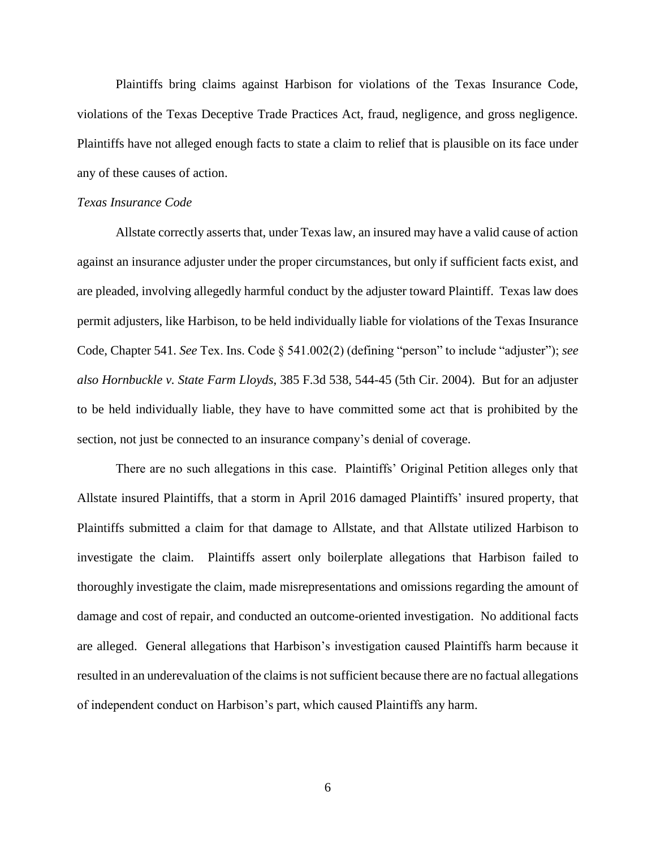Plaintiffs bring claims against Harbison for violations of the Texas Insurance Code, violations of the Texas Deceptive Trade Practices Act, fraud, negligence, and gross negligence. Plaintiffs have not alleged enough facts to state a claim to relief that is plausible on its face under any of these causes of action.

#### *Texas Insurance Code*

Allstate correctly asserts that, under Texas law, an insured may have a valid cause of action against an insurance adjuster under the proper circumstances, but only if sufficient facts exist, and are pleaded, involving allegedly harmful conduct by the adjuster toward Plaintiff. Texas law does permit adjusters, like Harbison, to be held individually liable for violations of the Texas Insurance Code, Chapter 541. *See* Tex. Ins. Code § 541.002(2) (defining "person" to include "adjuster"); *see also Hornbuckle v. State Farm Lloyds*, 385 F.3d 538, 544-45 (5th Cir. 2004). But for an adjuster to be held individually liable, they have to have committed some act that is prohibited by the section, not just be connected to an insurance company's denial of coverage.

There are no such allegations in this case. Plaintiffs' Original Petition alleges only that Allstate insured Plaintiffs, that a storm in April 2016 damaged Plaintiffs' insured property, that Plaintiffs submitted a claim for that damage to Allstate, and that Allstate utilized Harbison to investigate the claim. Plaintiffs assert only boilerplate allegations that Harbison failed to thoroughly investigate the claim, made misrepresentations and omissions regarding the amount of damage and cost of repair, and conducted an outcome-oriented investigation. No additional facts are alleged. General allegations that Harbison's investigation caused Plaintiffs harm because it resulted in an underevaluation of the claims is not sufficient because there are no factual allegations of independent conduct on Harbison's part, which caused Plaintiffs any harm.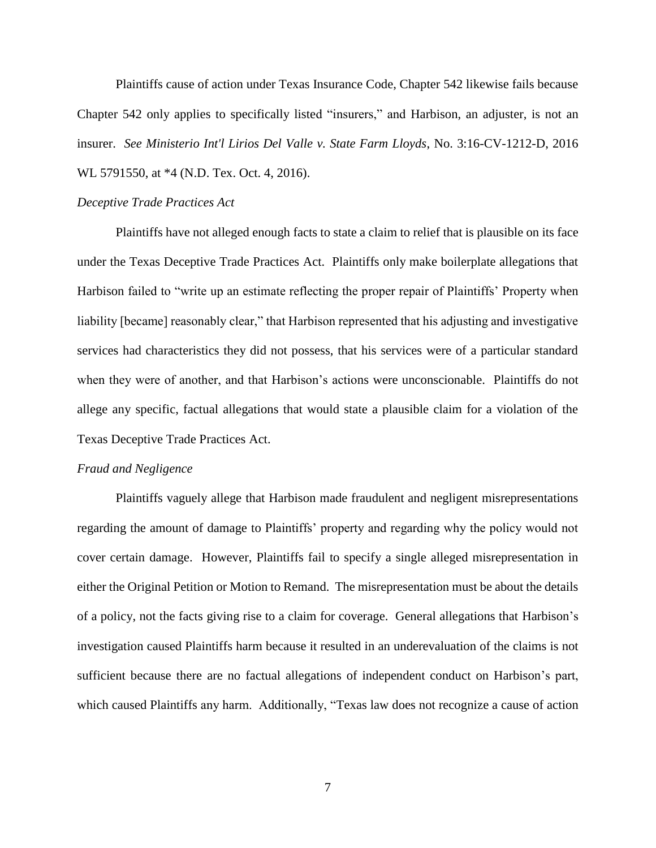Plaintiffs cause of action under Texas Insurance Code, Chapter 542 likewise fails because Chapter 542 only applies to specifically listed "insurers," and Harbison, an adjuster, is not an insurer. *See Ministerio Int'l Lirios Del Valle v. State Farm Lloyds*, No. 3:16-CV-1212-D, 2016 WL 5791550, at \*4 (N.D. Tex. Oct. 4, 2016).

#### *Deceptive Trade Practices Act*

Plaintiffs have not alleged enough facts to state a claim to relief that is plausible on its face under the Texas Deceptive Trade Practices Act. Plaintiffs only make boilerplate allegations that Harbison failed to "write up an estimate reflecting the proper repair of Plaintiffs' Property when liability [became] reasonably clear," that Harbison represented that his adjusting and investigative services had characteristics they did not possess, that his services were of a particular standard when they were of another, and that Harbison's actions were unconscionable. Plaintiffs do not allege any specific, factual allegations that would state a plausible claim for a violation of the Texas Deceptive Trade Practices Act.

### *Fraud and Negligence*

Plaintiffs vaguely allege that Harbison made fraudulent and negligent misrepresentations regarding the amount of damage to Plaintiffs' property and regarding why the policy would not cover certain damage. However, Plaintiffs fail to specify a single alleged misrepresentation in either the Original Petition or Motion to Remand. The misrepresentation must be about the details of a policy, not the facts giving rise to a claim for coverage. General allegations that Harbison's investigation caused Plaintiffs harm because it resulted in an underevaluation of the claims is not sufficient because there are no factual allegations of independent conduct on Harbison's part, which caused Plaintiffs any harm. Additionally, "Texas law does not recognize a cause of action